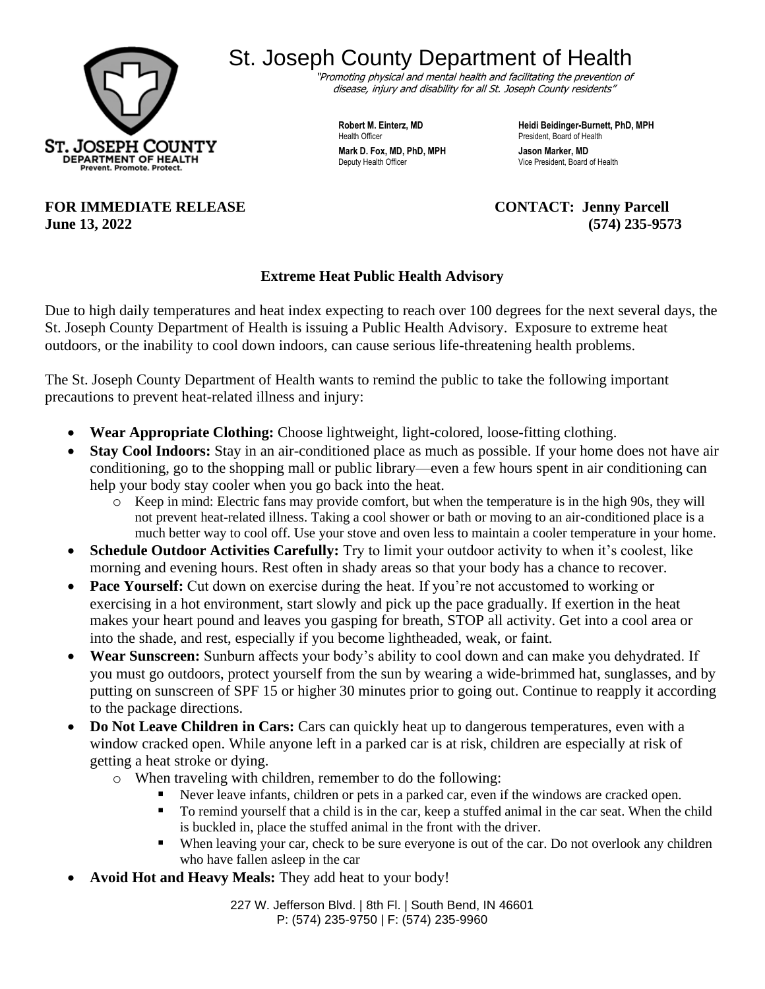

## St. Joseph County Department of Health

"Promoting physical and mental health and facilitating the prevention of disease, injury and disability for all St. Joseph County residents"

**Health Officer President, Board of Health** 

**Robert M. Einterz, MD Heidi Beidinger-Burnett, PhD, MPH Mark D. Fox, MD, PhD, MPH Jason Marker, MD**<br>Deputy Health Officer **MD Deputy Health Officer** Vice President, Board of Health

**FOR IMMEDIATE RELEASE CONTACT: Jenny Parcell June 13, 2022 (574) 235-9573**

## **Extreme Heat Public Health Advisory**

Due to high daily temperatures and heat index expecting to reach over 100 degrees for the next several days, the St. Joseph County Department of Health is issuing a Public Health Advisory. Exposure to extreme heat outdoors, or the inability to cool down indoors, can cause serious life-threatening health problems.

The St. Joseph County Department of Health wants to remind the public to take the following important precautions to prevent heat-related illness and injury:

- **Wear Appropriate Clothing:** Choose lightweight, light-colored, loose-fitting clothing.
- **Stay Cool Indoors:** Stay in an air-conditioned place as much as possible. If your home does not have air conditioning, go to the shopping mall or public library—even a few hours spent in air conditioning can help your body stay cooler when you go back into the heat.
	- o Keep in mind: Electric fans may provide comfort, but when the temperature is in the high 90s, they will not prevent heat-related illness. Taking a cool shower or bath or moving to an air-conditioned place is a much better way to cool off. Use your stove and oven less to maintain a cooler temperature in your home.
- **Schedule Outdoor Activities Carefully:** Try to limit your outdoor activity to when it's coolest, like morning and evening hours. Rest often in shady areas so that your body has a chance to recover.
- **Pace Yourself:** Cut down on exercise during the heat. If you're not accustomed to working or exercising in a hot environment, start slowly and pick up the pace gradually. If exertion in the heat makes your heart pound and leaves you gasping for breath, STOP all activity. Get into a cool area or into the shade, and rest, especially if you become lightheaded, weak, or faint.
- **Wear Sunscreen:** Sunburn affects your body's ability to cool down and can make you dehydrated. If you must go outdoors, protect yourself from the sun by wearing a wide-brimmed hat, sunglasses, and by putting on sunscreen of SPF 15 or higher 30 minutes prior to going out. Continue to reapply it according to the package directions.
- **Do Not Leave Children in Cars:** Cars can quickly heat up to dangerous temperatures, even with a window cracked open. While anyone left in a parked car is at risk, children are especially at risk of getting a heat stroke or dying.
	- o When traveling with children, remember to do the following:
		- Never leave infants, children or pets in a parked car, even if the windows are cracked open.
			- To remind yourself that a child is in the car, keep a stuffed animal in the car seat. When the child is buckled in, place the stuffed animal in the front with the driver.
			- When leaving your car, check to be sure everyone is out of the car. Do not overlook any children who have fallen asleep in the car
- **Avoid Hot and Heavy Meals:** They add heat to your body!

227 W. Jefferson Blvd. | 8th Fl. | South Bend, IN 46601 P: (574) 235-9750 | F: (574) 235-9960